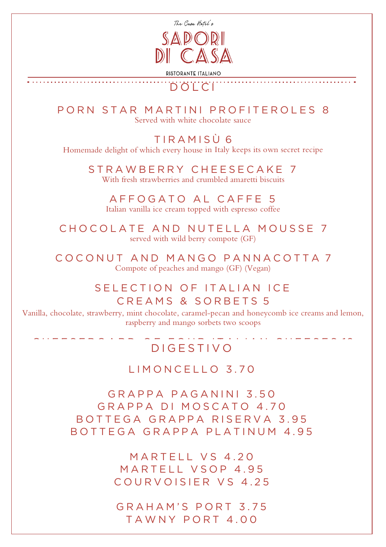

## DOLCI

PORN STAR MARTINI PROFITEROLES 8 Served with white chocolate sauce

TIRAM I S Ù 6 Homemade delight of which every house in Italy keeps its own secret recipe

STRAWBERRY CHEESECAKE 7 With fresh strawberries and crumbled amaretti biscuits

AFFOGATO AL CAFFE 5 Italian vanilla ice cream topped with espresso coffee

CHOCOLATE AND NUTELLA MOUSSE 7 served with wild berry compote (GF)

COCONUT AND MANGO PANNACOTTA 7 Compote of peaches and mango (GF) (Vegan)

## SELECTION OF ITALIAN ICE CREAMS & SORBETS 5

Vanilla, chocolate, strawberry, mint chocolate, caramel-pecan and honeycomb ice creams and lemon, raspberry and mango sorbets two scoops

# DIGESTIVO

#### LIMONCELLO 3.70

GRAPPA PAGANINI 3.50 GRAPPA DI MOSCATO 4.70 BOTTEGA GRAPPA RISERVA 3.95 BOTTEGA GRAPPA PLATINUM 4.95

> MARTELL VS 4.20 MARTELL VSOP 4.95 COURVOISIER VS 4.25

GRAHAM'S PORT 3.75 TAWNY PORT 4.00